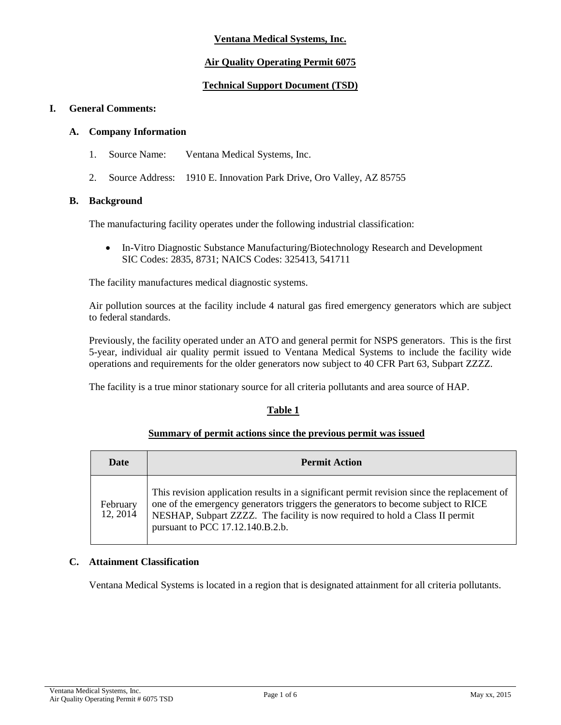# **Ventana Medical Systems, Inc.**

# **Air Quality Operating Permit 6075**

# **Technical Support Document (TSD)**

## **I. General Comments:**

## **A. Company Information**

- 1. Source Name: Ventana Medical Systems, Inc.
- 2. Source Address: 1910 E. Innovation Park Drive, Oro Valley, AZ 85755

# **B. Background**

The manufacturing facility operates under the following industrial classification:

• In-Vitro Diagnostic Substance Manufacturing/Biotechnology Research and Development SIC Codes: 2835, 8731; NAICS Codes: 325413, 541711

The facility manufactures medical diagnostic systems.

Air pollution sources at the facility include 4 natural gas fired emergency generators which are subject to federal standards.

Previously, the facility operated under an ATO and general permit for NSPS generators. This is the first 5-year, individual air quality permit issued to Ventana Medical Systems to include the facility wide operations and requirements for the older generators now subject to 40 CFR Part 63, Subpart ZZZZ.

The facility is a true minor stationary source for all criteria pollutants and area source of HAP.

# **Table 1**

## **Summary of permit actions since the previous permit was issued**

| <b>Date</b>          | <b>Permit Action</b>                                                                                                                                                                                                                                                                                 |
|----------------------|------------------------------------------------------------------------------------------------------------------------------------------------------------------------------------------------------------------------------------------------------------------------------------------------------|
| February<br>12, 2014 | This revision application results in a significant permit revision since the replacement of<br>one of the emergency generators triggers the generators to become subject to RICE<br>NESHAP, Subpart ZZZZ. The facility is now required to hold a Class II permit<br>pursuant to PCC 17.12.140.B.2.b. |

#### **C. Attainment Classification**

Ventana Medical Systems is located in a region that is designated attainment for all criteria pollutants.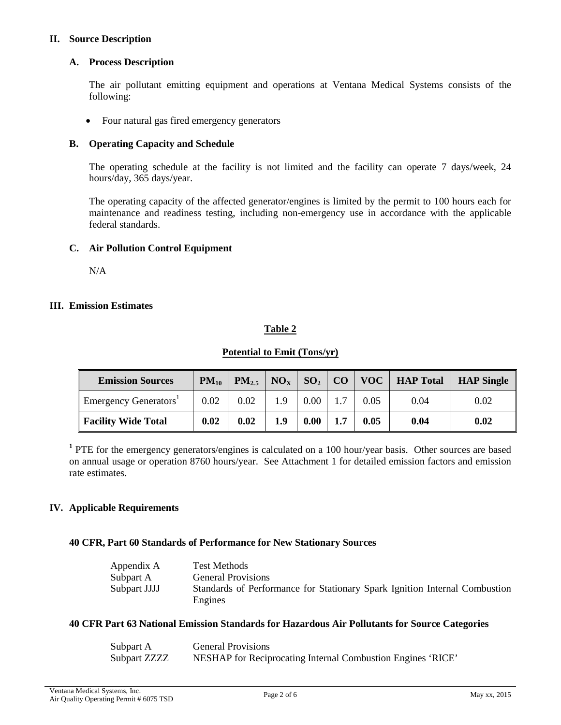## **II. Source Description**

## **A. Process Description**

The air pollutant emitting equipment and operations at Ventana Medical Systems consists of the following:

• Four natural gas fired emergency generators

## **B. Operating Capacity and Schedule**

The operating schedule at the facility is not limited and the facility can operate 7 days/week, 24 hours/day, 365 days/year.

The operating capacity of the affected generator/engines is limited by the permit to 100 hours each for maintenance and readiness testing, including non-emergency use in accordance with the applicable federal standards.

## **C. Air Pollution Control Equipment**

N/A

## **III. Emission Estimates**

## **Table 2**

## **Potential to Emit (Tons/yr)**

| <b>Emission Sources</b>           | $PM_{10}$ | $PM_{2.5}$ | $NO_{\rm x}$ | $SO_2   CO$ |    |      | VOC   HAP Total | <b>HAP Single</b> |
|-----------------------------------|-----------|------------|--------------|-------------|----|------|-----------------|-------------------|
| Emergency Generators <sup>1</sup> | 0.02      | 0.02       |              | 0.00        |    | 0.05 | 0.04            | 0.02              |
| <b>Facility Wide Total</b>        | 0.02      | 0.02       | 1.9          | 0.00        | 17 | 0.05 | 0.04            | 0.02              |

**<sup>1</sup>** PTE for the emergency generators/engines is calculated on a 100 hour/year basis. Other sources are based on annual usage or operation 8760 hours/year. See Attachment 1 for detailed emission factors and emission rate estimates.

# **IV. Applicable Requirements**

#### **40 CFR, Part 60 Standards of Performance for New Stationary Sources**

| Appendix A   | Test Methods                                                                          |
|--------------|---------------------------------------------------------------------------------------|
| Subpart A    | <b>General Provisions</b>                                                             |
| Subpart JJJJ | Standards of Performance for Stationary Spark Ignition Internal Combustion<br>Engines |

#### **40 CFR Part 63 National Emission Standards for Hazardous Air Pollutants for Source Categories**

| Subpart A    | <b>General Provisions</b>                                   |
|--------------|-------------------------------------------------------------|
| Subpart ZZZZ | NESHAP for Reciprocating Internal Combustion Engines 'RICE' |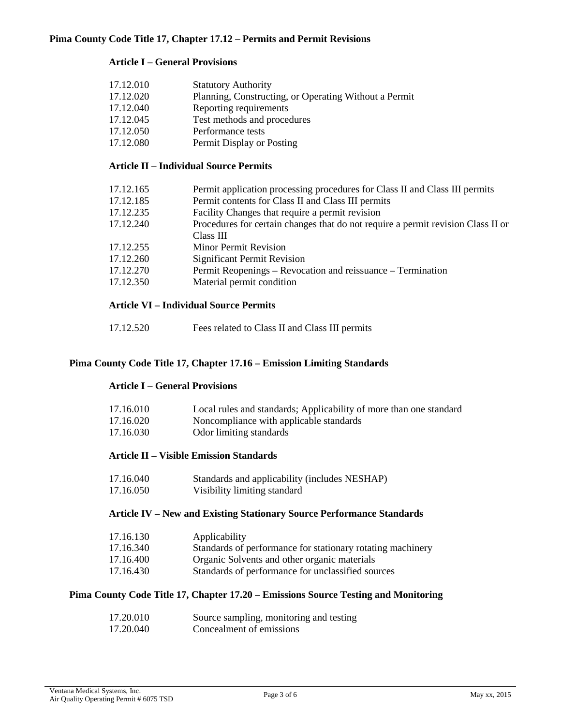# **Article I – General Provisions**

| 17.12.010 | <b>Statutory Authority</b>                            |
|-----------|-------------------------------------------------------|
| 17.12.020 | Planning, Constructing, or Operating Without a Permit |
| 17.12.040 | Reporting requirements                                |
| 17.12.045 | Test methods and procedures                           |
| 17.12.050 | Performance tests                                     |
| 17.12.080 | Permit Display or Posting                             |

# **Article II – Individual Source Permits**

| 17.12.165 | Permit application processing procedures for Class II and Class III permits      |
|-----------|----------------------------------------------------------------------------------|
| 17.12.185 | Permit contents for Class II and Class III permits                               |
| 17.12.235 | Facility Changes that require a permit revision                                  |
| 17.12.240 | Procedures for certain changes that do not require a permit revision Class II or |
|           | Class III                                                                        |
| 17.12.255 | <b>Minor Permit Revision</b>                                                     |
| 17.12.260 | <b>Significant Permit Revision</b>                                               |
| 17.12.270 | Permit Reopenings – Revocation and reissuance – Termination                      |
| 17.12.350 | Material permit condition                                                        |
|           |                                                                                  |

# **Article VI – Individual Source Permits**

| 17.12.520<br>Fees related to Class II and Class III permits |  |
|-------------------------------------------------------------|--|
|-------------------------------------------------------------|--|

# **Pima County Code Title 17, Chapter 17.16 – Emission Limiting Standards**

# **Article I – General Provisions**

| 17.16.010<br>17.16.020<br>17.16.030 | Local rules and standards; Applicability of more than one standard<br>Noncompliance with applicable standards<br>Odor limiting standards |  |  |  |
|-------------------------------------|------------------------------------------------------------------------------------------------------------------------------------------|--|--|--|
|                                     | <b>Article II – Visible Emission Standards</b>                                                                                           |  |  |  |
| 17.16.040                           | Standards and applicability (includes NESHAP)                                                                                            |  |  |  |
| 17.16.050                           | Visibility limiting standard                                                                                                             |  |  |  |
|                                     | <b>Article IV – New and Existing Stationary Source Performance Standards</b>                                                             |  |  |  |
| 17.16.130                           | Applicability                                                                                                                            |  |  |  |
| 17.16.340                           | Standards of performance for stationary rotating machinery                                                                               |  |  |  |
| 17.16.400                           | Organic Solvents and other organic materials                                                                                             |  |  |  |

17.16.430 Standards of performance for unclassified sources

# **Pima County Code Title 17, Chapter 17.20 – Emissions Source Testing and Monitoring**

| 17.20.010 | Source sampling, monitoring and testing |
|-----------|-----------------------------------------|
| 17.20.040 | Concealment of emissions                |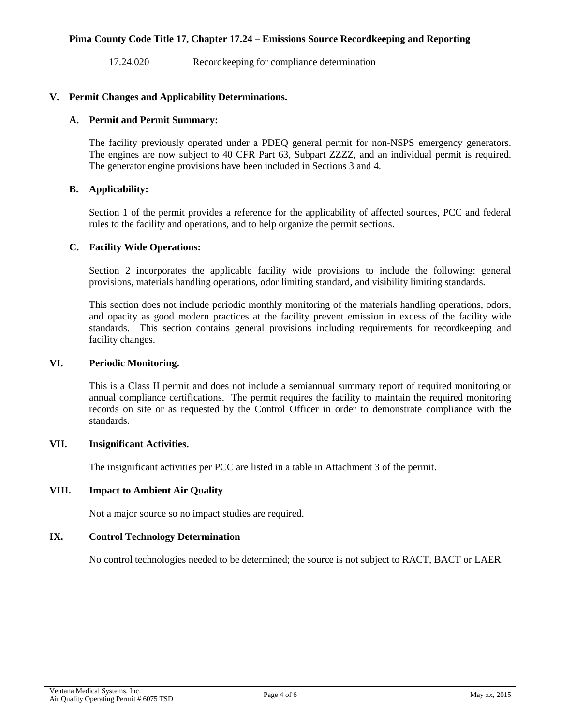## **Pima County Code Title 17, Chapter 17.24 – Emissions Source Recordkeeping and Reporting**

17.24.020 Recordkeeping for compliance determination

## **V. Permit Changes and Applicability Determinations.**

## **A. Permit and Permit Summary:**

The facility previously operated under a PDEQ general permit for non-NSPS emergency generators. The engines are now subject to 40 CFR Part 63, Subpart ZZZZ, and an individual permit is required. The generator engine provisions have been included in Sections 3 and 4.

## **B. Applicability:**

Section 1 of the permit provides a reference for the applicability of affected sources, PCC and federal rules to the facility and operations, and to help organize the permit sections.

## **C. Facility Wide Operations:**

Section 2 incorporates the applicable facility wide provisions to include the following: general provisions, materials handling operations, odor limiting standard, and visibility limiting standards.

This section does not include periodic monthly monitoring of the materials handling operations, odors, and opacity as good modern practices at the facility prevent emission in excess of the facility wide standards. This section contains general provisions including requirements for recordkeeping and facility changes.

# **VI. Periodic Monitoring.**

This is a Class II permit and does not include a semiannual summary report of required monitoring or annual compliance certifications. The permit requires the facility to maintain the required monitoring records on site or as requested by the Control Officer in order to demonstrate compliance with the standards.

# **VII. Insignificant Activities.**

The insignificant activities per PCC are listed in a table in Attachment 3 of the permit.

### **VIII. Impact to Ambient Air Quality**

Not a major source so no impact studies are required.

## **IX. Control Technology Determination**

No control technologies needed to be determined; the source is not subject to RACT, BACT or LAER.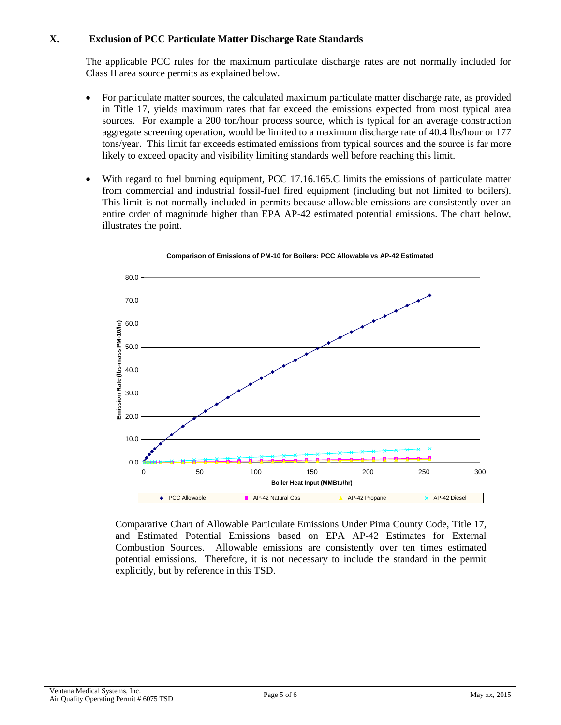# **X. Exclusion of PCC Particulate Matter Discharge Rate Standards**

The applicable PCC rules for the maximum particulate discharge rates are not normally included for Class II area source permits as explained below.

- For particulate matter sources, the calculated maximum particulate matter discharge rate, as provided in Title 17, yields maximum rates that far exceed the emissions expected from most typical area sources. For example a 200 ton/hour process source, which is typical for an average construction aggregate screening operation, would be limited to a maximum discharge rate of 40.4 lbs/hour or 177 tons/year. This limit far exceeds estimated emissions from typical sources and the source is far more likely to exceed opacity and visibility limiting standards well before reaching this limit.
- With regard to fuel burning equipment, PCC 17.16.165.C limits the emissions of particulate matter from commercial and industrial fossil-fuel fired equipment (including but not limited to boilers). This limit is not normally included in permits because allowable emissions are consistently over an entire order of magnitude higher than EPA AP-42 estimated potential emissions. The chart below, illustrates the point.





Comparative Chart of Allowable Particulate Emissions Under Pima County Code, Title 17, and Estimated Potential Emissions based on EPA AP-42 Estimates for External Combustion Sources. Allowable emissions are consistently over ten times estimated potential emissions. Therefore, it is not necessary to include the standard in the permit explicitly, but by reference in this TSD.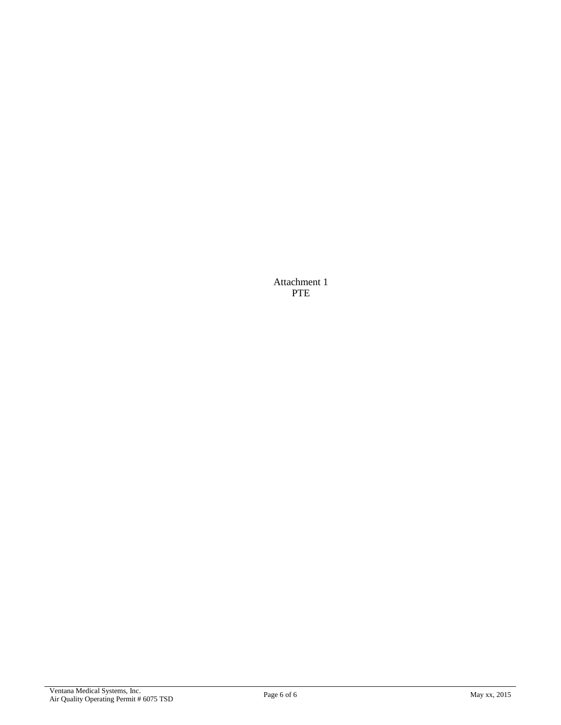Attachment 1 PTE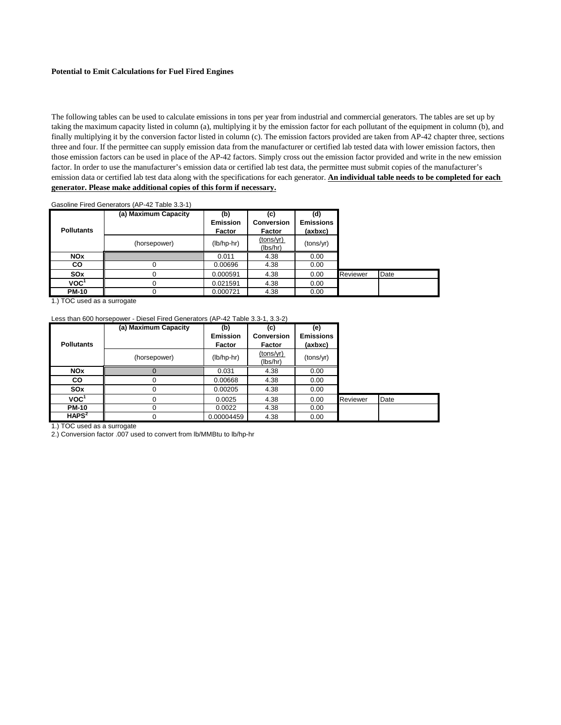#### **Potential to Emit Calculations for Fuel Fired Engines**

The following tables can be used to calculate emissions in tons per year from industrial and commercial generators. The tables are set up by taking the maximum capacity listed in column (a), multiplying it by the emission factor for each pollutant of the equipment in column (b), and finally multiplying it by the conversion factor listed in column (c). The emission factors provided are taken from AP-42 chapter three, sections three and four. If the permittee can supply emission data from the manufacturer or certified lab tested data with lower emission factors, then those emission factors can be used in place of the AP-42 factors. Simply cross out the emission factor provided and write in the new emission factor. In order to use the manufacturer's emission data or certified lab test data, the permittee must submit copies of the manufacturer's emission data or certified lab test data along with the specifications for each generator. **An individual table needs to be completed for each generator. Please make additional copies of this form if necessary.**

|                   | Gasoline Fired Generators (AP-42 Table 3.3-1) |                                  |                                    |                                    |          |      |
|-------------------|-----------------------------------------------|----------------------------------|------------------------------------|------------------------------------|----------|------|
| <b>Pollutants</b> | (a) Maximum Capacity                          | (b)<br><b>Emission</b><br>Factor | (c)<br><b>Conversion</b><br>Factor | (d)<br><b>Emissions</b><br>(axbxc) |          |      |
|                   | (horsepower)                                  | $(lb/hp-hr)$                     | (tons/yr)<br>(lbs/hr)              | (tons/yr)                          |          |      |
| <b>NOx</b>        |                                               | 0.011                            | 4.38                               | 0.00                               |          |      |
| CO                |                                               | 0.00696                          | 4.38                               | 0.00                               |          |      |
| SO <sub>x</sub>   |                                               | 0.000591                         | 4.38                               | 0.00                               | Reviewer | Date |
| VOC <sup>1</sup>  | 0                                             | 0.021591                         | 4.38                               | 0.00                               |          |      |
| <b>PM-10</b>      |                                               | 0.000721                         | 4.38                               | 0.00                               |          |      |

1.) TOC used as a surrogate

#### Less than 600 horsepower - Diesel Fired Generators (AP-42 Table 3.3-1, 3.3-2)

|                   | (a) Maximum Capacity | (b)             | (c)                   | (e)              |          |      |
|-------------------|----------------------|-----------------|-----------------------|------------------|----------|------|
|                   |                      | <b>Emission</b> | <b>Conversion</b>     | <b>Emissions</b> |          |      |
| <b>Pollutants</b> |                      | <b>Factor</b>   | Factor                | (axbxc)          |          |      |
|                   | (horsepower)         | $(lb/hp-hr)$    | (tons/yr)<br>(lbs/hr) | (tons/yr)        |          |      |
| <b>NOx</b>        |                      | 0.031           | 4.38                  | 0.00             |          |      |
| <b>CO</b>         |                      | 0.00668         | 4.38                  | 0.00             |          |      |
| SO <sub>x</sub>   | 0                    | 0.00205         | 4.38                  | 0.00             |          |      |
| VOC <sup>1</sup>  | 0                    | 0.0025          | 4.38                  | 0.00             | Reviewer | Date |
| <b>PM-10</b>      |                      | 0.0022          | 4.38                  | 0.00             |          |      |
| HAPS <sup>2</sup> |                      | 0.00004459      | 4.38                  | 0.00             |          |      |

1.) TOC used as a surrogate

2.) Conversion factor .007 used to convert from lb/MMBtu to lb/hp-hr